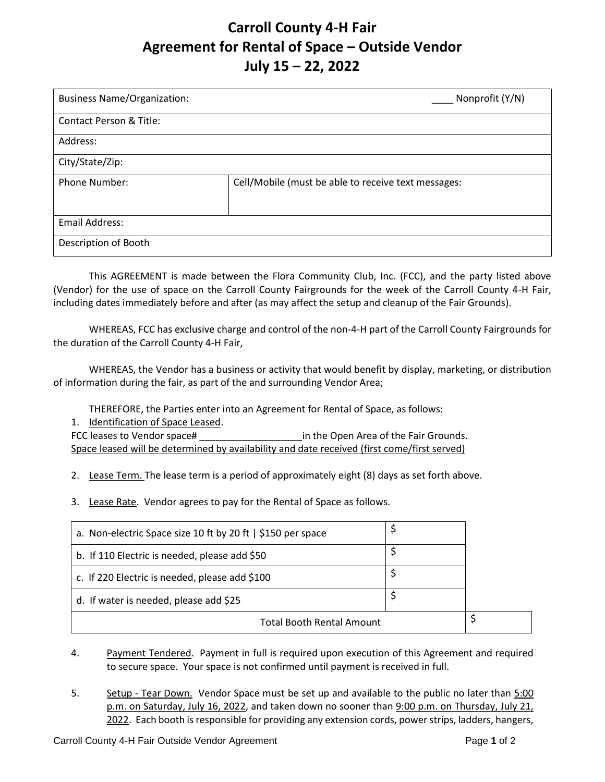## **Carroll County 4-H Fair Agreement for Rental of Space – Outside Vendor July 15 – 22, 2022**

| <b>Business Name/Organization:</b> | Nonprofit (Y/N)                                     |  |
|------------------------------------|-----------------------------------------------------|--|
| Contact Person & Title:            |                                                     |  |
| Address:                           |                                                     |  |
| City/State/Zip:                    |                                                     |  |
| <b>Phone Number:</b>               | Cell/Mobile (must be able to receive text messages: |  |
| Email Address:                     |                                                     |  |
| Description of Booth               |                                                     |  |

This AGREEMENT is made between the Flora Community Club, Inc. (FCC), and the party listed above (Vendor) for the use of space on the Carroll County Fairgrounds for the week of the Carroll County 4-H Fair, including dates immediately before and after (as may affect the setup and cleanup of the Fair Grounds).

WHEREAS, FCC has exclusive charge and control of the non-4-H part of the Carroll County Fairgrounds for the duration of the Carroll County 4-H Fair,

WHEREAS, the Vendor has a business or activity that would benefit by display, marketing, or distribution of information during the fair, as part of the and surrounding Vendor Area;

THEREFORE, the Parties enter into an Agreement for Rental of Space, as follows:

1. Identification of Space Leased.

FCC leases to Vendor space# \_\_\_\_\_\_\_\_\_\_\_\_\_\_\_\_\_\_\_in the Open Area of the Fair Grounds. Space leased will be determined by availability and date received (first come/first served)

2. Lease Term. The lease term is a period of approximately eight (8) days as set forth above.

3. Lease Rate. Vendor agrees to pay for the Rental of Space as follows.

| a. Non-electric Space size 10 ft by 20 ft   \$150 per space |  |  |
|-------------------------------------------------------------|--|--|
| b. If 110 Electric is needed, please add \$50               |  |  |
| c. If 220 Electric is needed, please add \$100              |  |  |
| d. If water is needed, please add \$25                      |  |  |
| <b>Total Booth Rental Amount</b>                            |  |  |

4. Payment Tendered. Payment in full is required upon execution of this Agreement and required to secure space. Your space is not confirmed until payment is received in full.

5. Setup - Tear Down. Vendor Space must be set up and available to the public no later than 5:00 p.m. on Saturday, July 16, 2022, and taken down no sooner than 9:00 p.m. on Thursday, July 21, 2022. Each booth is responsible for providing any extension cords, power strips, ladders, hangers,